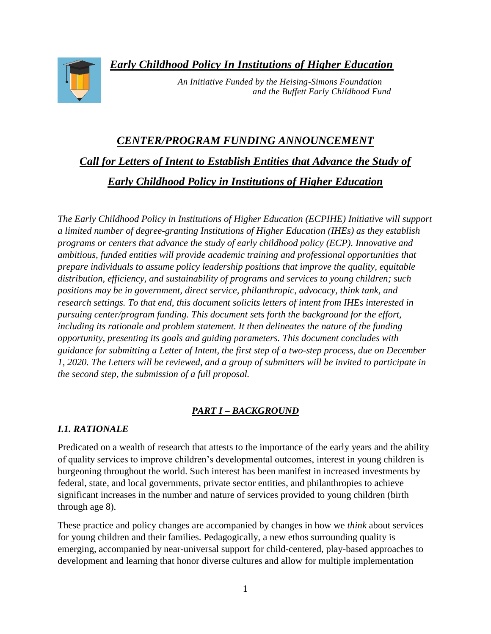*Early Childhood Policy In Institutions of Higher Education*



 *An Initiative Funded by the Heising-Simons Foundation and the Buffett Early Childhood Fund* 

# *CENTER/PROGRAM FUNDING ANNOUNCEMENT Call for Letters of Intent to Establish Entities that Advance the Study of Early Childhood Policy in Institutions of Higher Education*

*The Early Childhood Policy in Institutions of Higher Education (ECPIHE) Initiative will support a limited number of degree-granting Institutions of Higher Education (IHEs) as they establish programs or centers that advance the study of early childhood policy (ECP). Innovative and ambitious, funded entities will provide academic training and professional opportunities that prepare individuals to assume policy leadership positions that improve the quality, equitable distribution, efficiency, and sustainability of programs and services to young children; such positions may be in government, direct service, philanthropic, advocacy, think tank, and research settings. To that end, this document solicits letters of intent from IHEs interested in pursuing center/program funding. This document sets forth the background for the effort, including its rationale and problem statement. It then delineates the nature of the funding opportunity, presenting its goals and guiding parameters. This document concludes with guidance for submitting a Letter of Intent, the first step of a two-step process, due on December 1, 2020. The Letters will be reviewed, and a group of submitters will be invited to participate in the second step, the submission of a full proposal.*

# *PART I – BACKGROUND*

# *I.1. RATIONALE*

Predicated on a wealth of research that attests to the importance of the early years and the ability of quality services to improve children's developmental outcomes, interest in young children is burgeoning throughout the world. Such interest has been manifest in increased investments by federal, state, and local governments, private sector entities, and philanthropies to achieve significant increases in the number and nature of services provided to young children (birth through age 8).

These practice and policy changes are accompanied by changes in how we *think* about services for young children and their families. Pedagogically, a new ethos surrounding quality is emerging, accompanied by near-universal support for child-centered, play-based approaches to development and learning that honor diverse cultures and allow for multiple implementation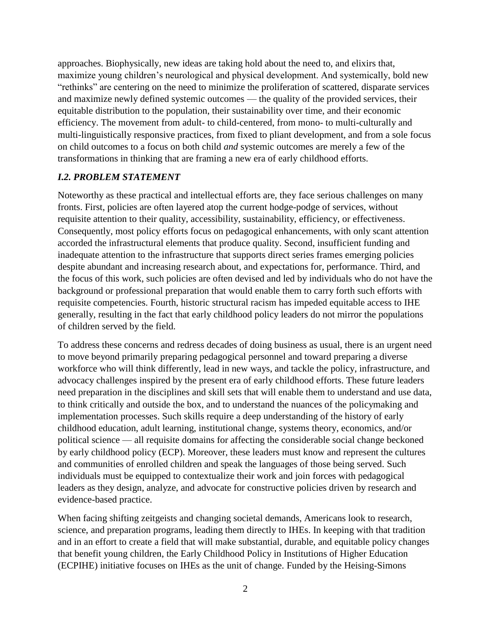approaches. Biophysically, new ideas are taking hold about the need to, and elixirs that, maximize young children's neurological and physical development. And systemically, bold new "rethinks" are centering on the need to minimize the proliferation of scattered, disparate services and maximize newly defined systemic outcomes — the quality of the provided services, their equitable distribution to the population, their sustainability over time, and their economic efficiency. The movement from adult- to child-centered, from mono- to multi-culturally and multi-linguistically responsive practices, from fixed to pliant development, and from a sole focus on child outcomes to a focus on both child *and* systemic outcomes are merely a few of the transformations in thinking that are framing a new era of early childhood efforts.

#### *I.2. PROBLEM STATEMENT*

Noteworthy as these practical and intellectual efforts are, they face serious challenges on many fronts. First, policies are often layered atop the current hodge-podge of services, without requisite attention to their quality, accessibility, sustainability, efficiency, or effectiveness. Consequently, most policy efforts focus on pedagogical enhancements, with only scant attention accorded the infrastructural elements that produce quality. Second, insufficient funding and inadequate attention to the infrastructure that supports direct series frames emerging policies despite abundant and increasing research about, and expectations for, performance. Third, and the focus of this work, such policies are often devised and led by individuals who do not have the background or professional preparation that would enable them to carry forth such efforts with requisite competencies. Fourth, historic structural racism has impeded equitable access to IHE generally, resulting in the fact that early childhood policy leaders do not mirror the populations of children served by the field.

To address these concerns and redress decades of doing business as usual, there is an urgent need to move beyond primarily preparing pedagogical personnel and toward preparing a diverse workforce who will think differently, lead in new ways, and tackle the policy, infrastructure, and advocacy challenges inspired by the present era of early childhood efforts. These future leaders need preparation in the disciplines and skill sets that will enable them to understand and use data, to think critically and outside the box, and to understand the nuances of the policymaking and implementation processes. Such skills require a deep understanding of the history of early childhood education, adult learning, institutional change, systems theory, economics, and/or political science — all requisite domains for affecting the considerable social change beckoned by early childhood policy (ECP). Moreover, these leaders must know and represent the cultures and communities of enrolled children and speak the languages of those being served. Such individuals must be equipped to contextualize their work and join forces with pedagogical leaders as they design, analyze, and advocate for constructive policies driven by research and evidence-based practice.

When facing shifting zeitgeists and changing societal demands, Americans look to research, science, and preparation programs, leading them directly to IHEs. In keeping with that tradition and in an effort to create a field that will make substantial, durable, and equitable policy changes that benefit young children, the Early Childhood Policy in Institutions of Higher Education (ECPIHE) initiative focuses on IHEs as the unit of change. Funded by the Heising-Simons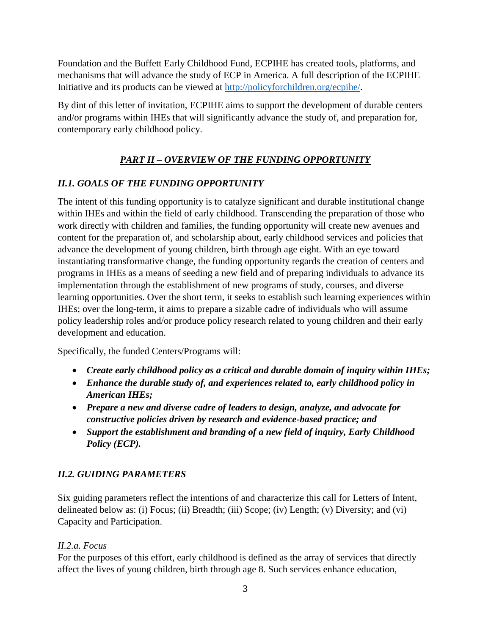Foundation and the Buffett Early Childhood Fund, ECPIHE has created tools, platforms, and mechanisms that will advance the study of ECP in America. A full description of the ECPIHE Initiative and its products can be viewed at [http://policyforchildren.org/ecpihe/.](http://policyforchildren.org/ecpihe/)

By dint of this letter of invitation, ECPIHE aims to support the development of durable centers and/or programs within IHEs that will significantly advance the study of, and preparation for, contemporary early childhood policy.

# *PART II – OVERVIEW OF THE FUNDING OPPORTUNITY*

# *II.1. GOALS OF THE FUNDING OPPORTUNITY*

The intent of this funding opportunity is to catalyze significant and durable institutional change within IHEs and within the field of early childhood. Transcending the preparation of those who work directly with children and families, the funding opportunity will create new avenues and content for the preparation of, and scholarship about, early childhood services and policies that advance the development of young children, birth through age eight. With an eye toward instantiating transformative change, the funding opportunity regards the creation of centers and programs in IHEs as a means of seeding a new field and of preparing individuals to advance its implementation through the establishment of new programs of study, courses, and diverse learning opportunities. Over the short term, it seeks to establish such learning experiences within IHEs; over the long-term, it aims to prepare a sizable cadre of individuals who will assume policy leadership roles and/or produce policy research related to young children and their early development and education.

Specifically, the funded Centers/Programs will:

- *Create early childhood policy as a critical and durable domain of inquiry within IHEs;*
- *Enhance the durable study of, and experiences related to, early childhood policy in American IHEs;*
- *Prepare a new and diverse cadre of leaders to design, analyze, and advocate for constructive policies driven by research and evidence-based practice; and*
- *Support the establishment and branding of a new field of inquiry, Early Childhood Policy (ECP).*

# *II.2. GUIDING PARAMETERS*

Six guiding parameters reflect the intentions of and characterize this call for Letters of Intent, delineated below as: (i) Focus; (ii) Breadth; (iii) Scope; (iv) Length; (v) Diversity; and (vi) Capacity and Participation.

# *II.2.a. Focus*

For the purposes of this effort, early childhood is defined as the array of services that directly affect the lives of young children, birth through age 8. Such services enhance education,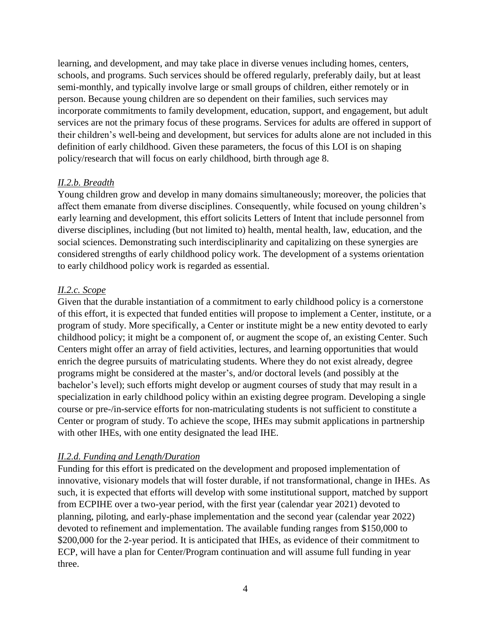learning, and development, and may take place in diverse venues including homes, centers, schools, and programs. Such services should be offered regularly, preferably daily, but at least semi-monthly, and typically involve large or small groups of children, either remotely or in person. Because young children are so dependent on their families, such services may incorporate commitments to family development, education, support, and engagement, but adult services are not the primary focus of these programs. Services for adults are offered in support of their children's well-being and development, but services for adults alone are not included in this definition of early childhood. Given these parameters, the focus of this LOI is on shaping policy/research that will focus on early childhood, birth through age 8.

## *II.2.b. Breadth*

Young children grow and develop in many domains simultaneously; moreover, the policies that affect them emanate from diverse disciplines. Consequently, while focused on young children's early learning and development, this effort solicits Letters of Intent that include personnel from diverse disciplines, including (but not limited to) health, mental health, law, education, and the social sciences. Demonstrating such interdisciplinarity and capitalizing on these synergies are considered strengths of early childhood policy work. The development of a systems orientation to early childhood policy work is regarded as essential.

## *II.2.c. Scope*

Given that the durable instantiation of a commitment to early childhood policy is a cornerstone of this effort, it is expected that funded entities will propose to implement a Center, institute, or a program of study. More specifically, a Center or institute might be a new entity devoted to early childhood policy; it might be a component of, or augment the scope of, an existing Center. Such Centers might offer an array of field activities, lectures, and learning opportunities that would enrich the degree pursuits of matriculating students. Where they do not exist already, degree programs might be considered at the master's, and/or doctoral levels (and possibly at the bachelor's level); such efforts might develop or augment courses of study that may result in a specialization in early childhood policy within an existing degree program. Developing a single course or pre-/in-service efforts for non-matriculating students is not sufficient to constitute a Center or program of study. To achieve the scope, IHEs may submit applications in partnership with other IHEs, with one entity designated the lead IHE.

## *II.2.d. Funding and Length/Duration*

Funding for this effort is predicated on the development and proposed implementation of innovative, visionary models that will foster durable, if not transformational, change in IHEs. As such, it is expected that efforts will develop with some institutional support, matched by support from ECPIHE over a two-year period, with the first year (calendar year 2021) devoted to planning, piloting, and early-phase implementation and the second year (calendar year 2022) devoted to refinement and implementation. The available funding ranges from \$150,000 to \$200,000 for the 2-year period. It is anticipated that IHEs, as evidence of their commitment to ECP, will have a plan for Center/Program continuation and will assume full funding in year three.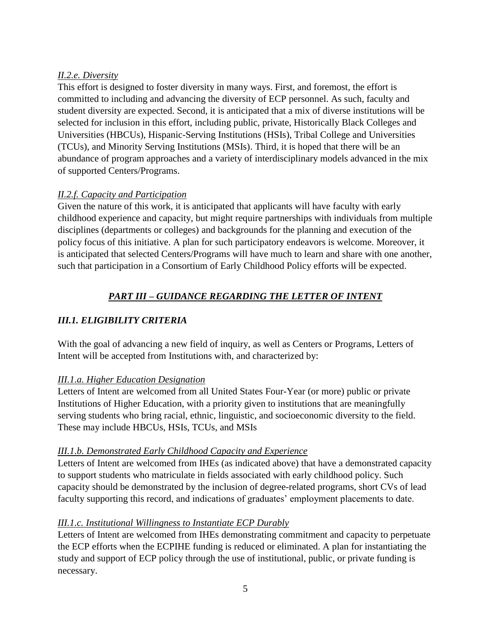## *II.2.e. Diversity*

This effort is designed to foster diversity in many ways. First, and foremost, the effort is committed to including and advancing the diversity of ECP personnel. As such, faculty and student diversity are expected. Second, it is anticipated that a mix of diverse institutions will be selected for inclusion in this effort, including public, private, Historically Black Colleges and Universities (HBCUs), Hispanic-Serving Institutions (HSIs), Tribal College and Universities (TCUs), and Minority Serving Institutions (MSIs). Third, it is hoped that there will be an abundance of program approaches and a variety of interdisciplinary models advanced in the mix of supported Centers/Programs.

# *II.2.f. Capacity and Participation*

Given the nature of this work, it is anticipated that applicants will have faculty with early childhood experience and capacity, but might require partnerships with individuals from multiple disciplines (departments or colleges) and backgrounds for the planning and execution of the policy focus of this initiative. A plan for such participatory endeavors is welcome. Moreover, it is anticipated that selected Centers/Programs will have much to learn and share with one another, such that participation in a Consortium of Early Childhood Policy efforts will be expected.

# *PART III – GUIDANCE REGARDING THE LETTER OF INTENT*

# *III.1. ELIGIBILITY CRITERIA*

With the goal of advancing a new field of inquiry, as well as Centers or Programs, Letters of Intent will be accepted from Institutions with, and characterized by:

## *III.1.a. Higher Education Designation*

Letters of Intent are welcomed from all United States Four-Year (or more) public or private Institutions of Higher Education, with a priority given to institutions that are meaningfully serving students who bring racial, ethnic, linguistic, and socioeconomic diversity to the field. These may include HBCUs, HSIs, TCUs, and MSIs

## *III.1.b. Demonstrated Early Childhood Capacity and Experience*

Letters of Intent are welcomed from IHEs (as indicated above) that have a demonstrated capacity to support students who matriculate in fields associated with early childhood policy. Such capacity should be demonstrated by the inclusion of degree-related programs, short CVs of lead faculty supporting this record, and indications of graduates' employment placements to date.

# *III.1.c. Institutional Willingness to Instantiate ECP Durably*

Letters of Intent are welcomed from IHEs demonstrating commitment and capacity to perpetuate the ECP efforts when the ECPIHE funding is reduced or eliminated. A plan for instantiating the study and support of ECP policy through the use of institutional, public, or private funding is necessary.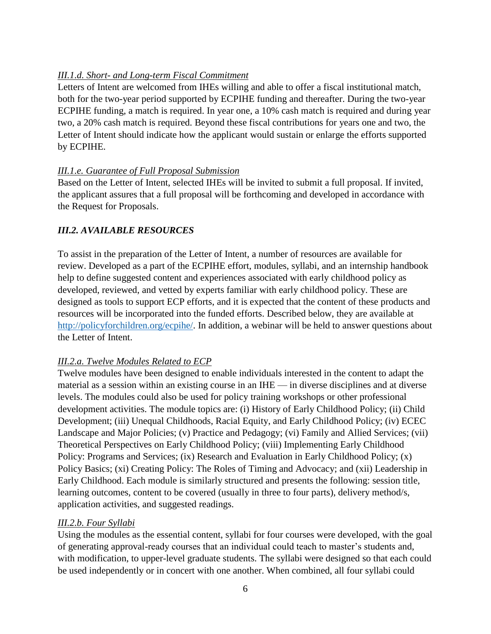# *III.1.d. Short- and Long-term Fiscal Commitment*

Letters of Intent are welcomed from IHEs willing and able to offer a fiscal institutional match, both for the two-year period supported by ECPIHE funding and thereafter. During the two-year ECPIHE funding, a match is required. In year one, a 10% cash match is required and during year two, a 20% cash match is required. Beyond these fiscal contributions for years one and two, the Letter of Intent should indicate how the applicant would sustain or enlarge the efforts supported by ECPIHE.

# *III.1.e. Guarantee of Full Proposal Submission*

Based on the Letter of Intent, selected IHEs will be invited to submit a full proposal. If invited, the applicant assures that a full proposal will be forthcoming and developed in accordance with the Request for Proposals.

# *III.2. AVAILABLE RESOURCES*

To assist in the preparation of the Letter of Intent, a number of resources are available for review. Developed as a part of the ECPIHE effort, modules, syllabi, and an internship handbook help to define suggested content and experiences associated with early childhood policy as developed, reviewed, and vetted by experts familiar with early childhood policy. These are designed as tools to support ECP efforts, and it is expected that the content of these products and resources will be incorporated into the funded efforts. Described below, they are available at [http://policyforchildren.org/ecpihe/.](http://policyforchildren.org/ecpihe/) In addition, a webinar will be held to answer questions about the Letter of Intent.

# *III.2.a. Twelve Modules Related to ECP*

Twelve modules have been designed to enable individuals interested in the content to adapt the material as a session within an existing course in an IHE — in diverse disciplines and at diverse levels. The modules could also be used for policy training workshops or other professional development activities. The module topics are: (i) History of Early Childhood Policy; (ii) Child Development; (iii) Unequal Childhoods, Racial Equity, and Early Childhood Policy; (iv) ECEC Landscape and Major Policies; (v) Practice and Pedagogy; (vi) Family and Allied Services; (vii) Theoretical Perspectives on Early Childhood Policy; (viii) Implementing Early Childhood Policy: Programs and Services; (ix) Research and Evaluation in Early Childhood Policy; (x) Policy Basics; (xi) Creating Policy: The Roles of Timing and Advocacy; and (xii) Leadership in Early Childhood. Each module is similarly structured and presents the following: session title, learning outcomes, content to be covered (usually in three to four parts), delivery method/s, application activities, and suggested readings.

# *III.2.b. Four Syllabi*

Using the modules as the essential content, syllabi for four courses were developed, with the goal of generating approval-ready courses that an individual could teach to master's students and, with modification, to upper-level graduate students. The syllabi were designed so that each could be used independently or in concert with one another. When combined, all four syllabi could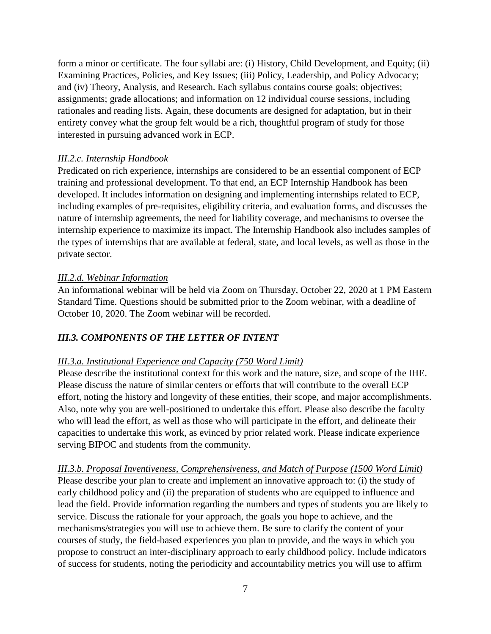form a minor or certificate. The four syllabi are: (i) History, Child Development, and Equity; (ii) Examining Practices, Policies, and Key Issues; (iii) Policy, Leadership, and Policy Advocacy; and (iv) Theory, Analysis, and Research. Each syllabus contains course goals; objectives; assignments; grade allocations; and information on 12 individual course sessions, including rationales and reading lists. Again, these documents are designed for adaptation, but in their entirety convey what the group felt would be a rich, thoughtful program of study for those interested in pursuing advanced work in ECP.

#### *III.2.c. Internship Handbook*

Predicated on rich experience, internships are considered to be an essential component of ECP training and professional development. To that end, an ECP Internship Handbook has been developed. It includes information on designing and implementing internships related to ECP, including examples of pre-requisites, eligibility criteria, and evaluation forms, and discusses the nature of internship agreements, the need for liability coverage, and mechanisms to oversee the internship experience to maximize its impact. The Internship Handbook also includes samples of the types of internships that are available at federal, state, and local levels, as well as those in the private sector.

#### *III.2.d. Webinar Information*

An informational webinar will be held via Zoom on Thursday, October 22, 2020 at 1 PM Eastern Standard Time. Questions should be submitted prior to the Zoom webinar, with a deadline of October 10, 2020. The Zoom webinar will be recorded.

## *III.3. COMPONENTS OF THE LETTER OF INTENT*

## *III.3.a. Institutional Experience and Capacity (750 Word Limit)*

Please describe the institutional context for this work and the nature, size, and scope of the IHE. Please discuss the nature of similar centers or efforts that will contribute to the overall ECP effort, noting the history and longevity of these entities, their scope, and major accomplishments. Also, note why you are well-positioned to undertake this effort. Please also describe the faculty who will lead the effort, as well as those who will participate in the effort, and delineate their capacities to undertake this work, as evinced by prior related work. Please indicate experience serving BIPOC and students from the community.

*III.3.b. Proposal Inventiveness, Comprehensiveness, and Match of Purpose (1500 Word Limit)* Please describe your plan to create and implement an innovative approach to: (i) the study of early childhood policy and (ii) the preparation of students who are equipped to influence and lead the field. Provide information regarding the numbers and types of students you are likely to service. Discuss the rationale for your approach, the goals you hope to achieve, and the mechanisms/strategies you will use to achieve them. Be sure to clarify the content of your courses of study, the field-based experiences you plan to provide, and the ways in which you propose to construct an inter-disciplinary approach to early childhood policy. Include indicators of success for students, noting the periodicity and accountability metrics you will use to affirm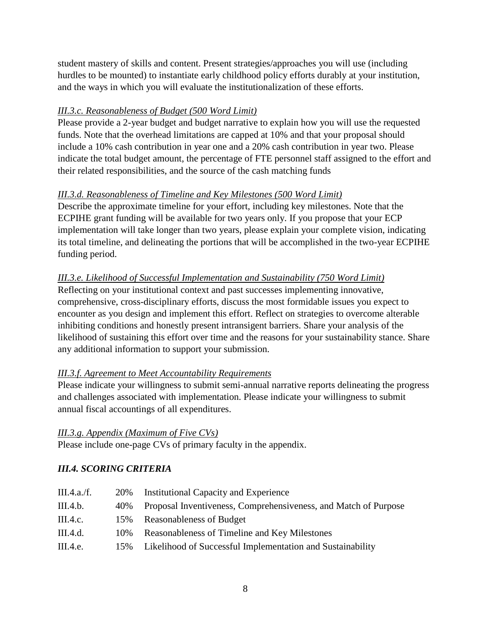student mastery of skills and content. Present strategies/approaches you will use (including hurdles to be mounted) to instantiate early childhood policy efforts durably at your institution, and the ways in which you will evaluate the institutionalization of these efforts.

# *III.3.c. Reasonableness of Budget (500 Word Limit)*

Please provide a 2-year budget and budget narrative to explain how you will use the requested funds. Note that the overhead limitations are capped at 10% and that your proposal should include a 10% cash contribution in year one and a 20% cash contribution in year two. Please indicate the total budget amount, the percentage of FTE personnel staff assigned to the effort and their related responsibilities, and the source of the cash matching funds

## *III.3.d. Reasonableness of Timeline and Key Milestones (500 Word Limit)*

Describe the approximate timeline for your effort, including key milestones. Note that the ECPIHE grant funding will be available for two years only. If you propose that your ECP implementation will take longer than two years, please explain your complete vision, indicating its total timeline, and delineating the portions that will be accomplished in the two-year ECPIHE funding period.

## *III.3.e. Likelihood of Successful Implementation and Sustainability (750 Word Limit)*

Reflecting on your institutional context and past successes implementing innovative, comprehensive, cross-disciplinary efforts, discuss the most formidable issues you expect to encounter as you design and implement this effort. Reflect on strategies to overcome alterable inhibiting conditions and honestly present intransigent barriers. Share your analysis of the likelihood of sustaining this effort over time and the reasons for your sustainability stance. Share any additional information to support your submission.

# *III.3.f. Agreement to Meet Accountability Requirements*

Please indicate your willingness to submit semi-annual narrative reports delineating the progress and challenges associated with implementation. Please indicate your willingness to submit annual fiscal accountings of all expenditures.

## *III.3.g. Appendix (Maximum of Five CVs)*

Please include one-page CVs of primary faculty in the appendix.

# *III.4. SCORING CRITERIA*

| III.4.a.f. | 20\% | Institutional Capacity and Experience                           |
|------------|------|-----------------------------------------------------------------|
| III.4.b.   | 40\% | Proposal Inventiveness, Comprehensiveness, and Match of Purpose |
| III.4.c.   | 15%  | Reasonableness of Budget                                        |
| III.4.d.   | 10\% | Reasonableness of Timeline and Key Milestones                   |
| III.4.e.   | 15%  | Likelihood of Successful Implementation and Sustainability      |
|            |      |                                                                 |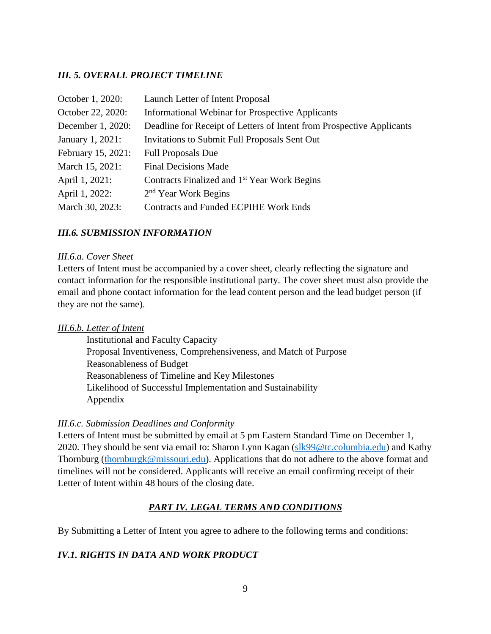# *III. 5. OVERALL PROJECT TIMELINE*

| October 1, 2020:   | Launch Letter of Intent Proposal                                      |
|--------------------|-----------------------------------------------------------------------|
| October 22, 2020:  | <b>Informational Webinar for Prospective Applicants</b>               |
| December 1, 2020:  | Deadline for Receipt of Letters of Intent from Prospective Applicants |
| January 1, 2021:   | Invitations to Submit Full Proposals Sent Out                         |
| February 15, 2021: | <b>Full Proposals Due</b>                                             |
| March 15, 2021:    | <b>Final Decisions Made</b>                                           |
| April 1, 2021:     | Contracts Finalized and 1 <sup>st</sup> Year Work Begins              |
| April 1, 2022:     | 2 <sup>nd</sup> Year Work Begins                                      |
| March 30, 2023:    | <b>Contracts and Funded ECPIHE Work Ends</b>                          |

## *III.6. SUBMISSION INFORMATION*

#### *III.6.a. Cover Sheet*

Letters of Intent must be accompanied by a cover sheet, clearly reflecting the signature and contact information for the responsible institutional party. The cover sheet must also provide the email and phone contact information for the lead content person and the lead budget person (if they are not the same).

#### *III.6.b. Letter of Intent*

Institutional and Faculty Capacity Proposal Inventiveness, Comprehensiveness, and Match of Purpose Reasonableness of Budget Reasonableness of Timeline and Key Milestones Likelihood of Successful Implementation and Sustainability Appendix

#### *III.6.c. Submission Deadlines and Conformity*

Letters of Intent must be submitted by email at 5 pm Eastern Standard Time on December 1, 2020. They should be sent via email to: Sharon Lynn Kagan [\(slk99@tc.columbia.edu\)](mailto:slk99@tc.columbia.edu) and Kathy Thornburg [\(thornburgk@missouri.edu\)](mailto:thornburgk@missouri.edu). Applications that do not adhere to the above format and timelines will not be considered. Applicants will receive an email confirming receipt of their Letter of Intent within 48 hours of the closing date.

# *PART IV. LEGAL TERMS AND CONDITIONS*

By Submitting a Letter of Intent you agree to adhere to the following terms and conditions:

## *IV.1. RIGHTS IN DATA AND WORK PRODUCT*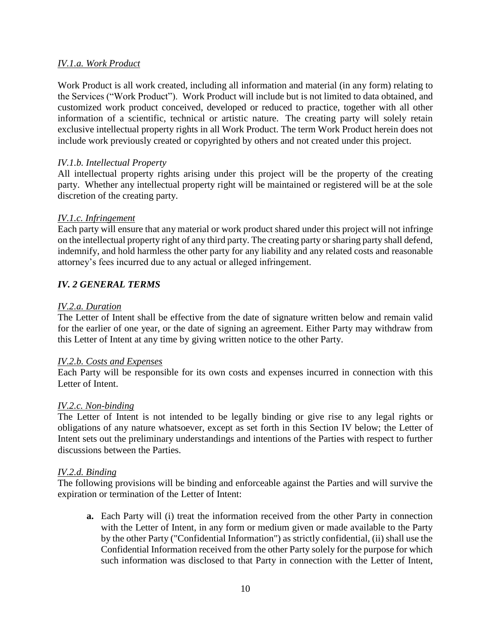#### *IV.1.a. Work Product*

Work Product is all work created, including all information and material (in any form) relating to the Services ("Work Product"). Work Product will include but is not limited to data obtained, and customized work product conceived, developed or reduced to practice, together with all other information of a scientific, technical or artistic nature. The creating party will solely retain exclusive intellectual property rights in all Work Product. The term Work Product herein does not include work previously created or copyrighted by others and not created under this project.

#### *IV.1.b. Intellectual Property*

All intellectual property rights arising under this project will be the property of the creating party. Whether any intellectual property right will be maintained or registered will be at the sole discretion of the creating party.

#### *IV.1.c. Infringement*

Each party will ensure that any material or work product shared under this project will not infringe on the intellectual property right of any third party. The creating party or sharing party shall defend, indemnify, and hold harmless the other party for any liability and any related costs and reasonable attorney's fees incurred due to any actual or alleged infringement.

## *IV. 2 GENERAL TERMS*

#### *IV.2.a. Duration*

The Letter of Intent shall be effective from the date of signature written below and remain valid for the earlier of one year, or the date of signing an agreement. Either Party may withdraw from this Letter of Intent at any time by giving written notice to the other Party.

#### *IV.2.b. Costs and Expenses*

Each Party will be responsible for its own costs and expenses incurred in connection with this Letter of Intent.

#### *IV.2.c. Non-binding*

The Letter of Intent is not intended to be legally binding or give rise to any legal rights or obligations of any nature whatsoever, except as set forth in this Section IV below; the Letter of Intent sets out the preliminary understandings and intentions of the Parties with respect to further discussions between the Parties.

#### *IV.2.d. Binding*

The following provisions will be binding and enforceable against the Parties and will survive the expiration or termination of the Letter of Intent:

**a.** Each Party will (i) treat the information received from the other Party in connection with the Letter of Intent, in any form or medium given or made available to the Party by the other Party ("Confidential Information") as strictly confidential, (ii) shall use the Confidential Information received from the other Party solely for the purpose for which such information was disclosed to that Party in connection with the Letter of Intent,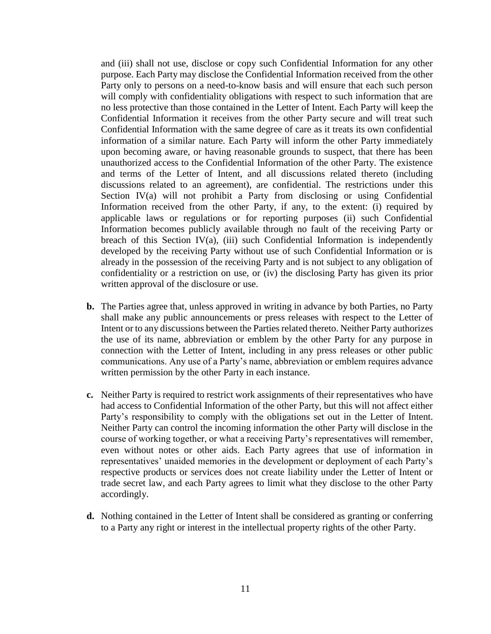and (iii) shall not use, disclose or copy such Confidential Information for any other purpose. Each Party may disclose the Confidential Information received from the other Party only to persons on a need-to-know basis and will ensure that each such person will comply with confidentiality obligations with respect to such information that are no less protective than those contained in the Letter of Intent. Each Party will keep the Confidential Information it receives from the other Party secure and will treat such Confidential Information with the same degree of care as it treats its own confidential information of a similar nature. Each Party will inform the other Party immediately upon becoming aware, or having reasonable grounds to suspect, that there has been unauthorized access to the Confidential Information of the other Party. The existence and terms of the Letter of Intent, and all discussions related thereto (including discussions related to an agreement), are confidential. The restrictions under this Section IV(a) will not prohibit a Party from disclosing or using Confidential Information received from the other Party, if any, to the extent: (i) required by applicable laws or regulations or for reporting purposes (ii) such Confidential Information becomes publicly available through no fault of the receiving Party or breach of this Section IV(a), (iii) such Confidential Information is independently developed by the receiving Party without use of such Confidential Information or is already in the possession of the receiving Party and is not subject to any obligation of confidentiality or a restriction on use, or (iv) the disclosing Party has given its prior written approval of the disclosure or use.

- **b.** The Parties agree that, unless approved in writing in advance by both Parties, no Party shall make any public announcements or press releases with respect to the Letter of Intent or to any discussions between the Parties related thereto. Neither Party authorizes the use of its name, abbreviation or emblem by the other Party for any purpose in connection with the Letter of Intent, including in any press releases or other public communications. Any use of a Party's name, abbreviation or emblem requires advance written permission by the other Party in each instance.
- **c.** Neither Party is required to restrict work assignments of their representatives who have had access to Confidential Information of the other Party, but this will not affect either Party's responsibility to comply with the obligations set out in the Letter of Intent. Neither Party can control the incoming information the other Party will disclose in the course of working together, or what a receiving Party's representatives will remember, even without notes or other aids. Each Party agrees that use of information in representatives' unaided memories in the development or deployment of each Party's respective products or services does not create liability under the Letter of Intent or trade secret law, and each Party agrees to limit what they disclose to the other Party accordingly.
- **d.** Nothing contained in the Letter of Intent shall be considered as granting or conferring to a Party any right or interest in the intellectual property rights of the other Party.